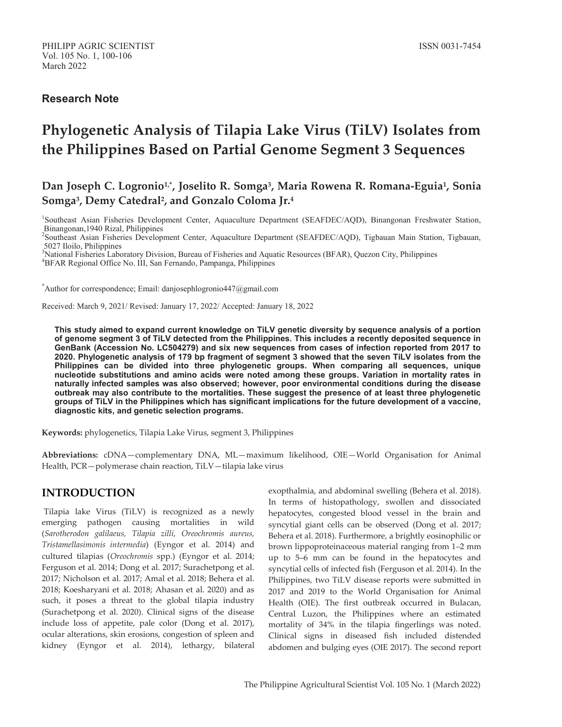### **Research Note**

# **Phylogenetic Analysis of Tilapia Lake Virus (TiLV) Isolates from the Philippines Based on Partial Genome Segment 3 Sequences**

# **Dan Joseph C. Logronio1,\*, Joselito R. Somga<sup>3</sup> , Maria Rowena R. Romana-Eguia<sup>1</sup> , Sonia Somga<sup>3</sup> , Demy Catedral<sup>2</sup> , and Gonzalo Coloma Jr.<sup>4</sup>**

1 Southeast Asian Fisheries Development Center, Aquaculture Department (SEAFDEC/AQD), Binangonan Freshwater Station, Binangonan,1940 Rizal, Philippines

2 Southeast Asian Fisheries Development Center, Aquaculture Department (SEAFDEC/AQD), Tigbauan Main Station, Tigbauan, 5027 Iloilo, Philippines

<sup>3</sup>National Fisheries Laboratory Division, Bureau of Fisheries and Aquatic Resources (BFAR), Quezon City, Philippines <sup>4</sup>BFAR Regional Office No. III, San Fernando, Pampanga, Philippines

\*Author for correspondence; Email: danjosephlogronio447@gmail.com

Received: March 9, 2021/ Revised: January 17, 2022/ Accepted: January 18, 2022

**This study aimed to expand current knowledge on TiLV genetic diversity by sequence analysis of a portion of genome segment 3 of TiLV detected from the Philippines. This includes a recently deposited sequence in GenBank (Accession No. LC504279) and six new sequences from cases of infection reported from 2017 to 2020. Phylogenetic analysis of 179 bp fragment of segment 3 showed that the seven TiLV isolates from the Philippines can be divided into three phylogenetic groups. When comparing all sequences, unique nucleotide substitutions and amino acids were noted among these groups. Variation in mortality rates in naturally infected samples was also observed; however, poor environmental conditions during the disease outbreak may also contribute to the mortalities. These suggest the presence of at least three phylogenetic groups of TiLV in the Philippines which has significant implications for the future development of a vaccine, diagnostic kits, and genetic selection programs.** 

**Keywords:** phylogenetics, Tilapia Lake Virus, segment 3, Philippines

**Abbreviations:** cDNA—complementary DNA, ML—maximum likelihood, OIE—World Organisation for Animal Health, PCR—polymerase chain reaction, TiLV—tilapia lake virus

### **INTRODUCTION**

Tilapia lake Virus (TiLV) is recognized as a newly emerging pathogen causing mortalities in wild (*Sarotherodon galilaeus, Tilapia zilli, Oreochromis aureus, Tristamellasimonis intermedia*) (Eyngor et al. 2014) and cultured tilapias (*Oreochromis* spp.) (Eyngor et al. 2014; Ferguson et al. 2014; Dong et al. 2017; Surachetpong et al. 2017; Nicholson et al. 2017; Amal et al. 2018; Behera et al. 2018; Koesharyani et al. 2018; Ahasan et al. 2020) and as such, it poses a threat to the global tilapia industry (Surachetpong et al. 2020). Clinical signs of the disease include loss of appetite, pale color (Dong et al. 2017), ocular alterations, skin erosions, congestion of spleen and kidney (Eyngor et al. 2014), lethargy, bilateral exopthalmia, and abdominal swelling (Behera et al. 2018). In terms of histopathology, swollen and dissociated hepatocytes, congested blood vessel in the brain and syncytial giant cells can be observed (Dong et al. 2017; Behera et al. 2018). Furthermore, a brightly eosinophilic or brown lippoproteinaceous material ranging from 1–2 mm up to 5–6 mm can be found in the hepatocytes and syncytial cells of infected fish (Ferguson et al. 2014). In the Philippines, two TiLV disease reports were submitted in 2017 and 2019 to the World Organisation for Animal Health (OIE). The first outbreak occurred in Bulacan, Central Luzon, the Philippines where an estimated mortality of 34% in the tilapia fingerlings was noted. Clinical signs in diseased fish included distended abdomen and bulging eyes (OIE 2017). The second report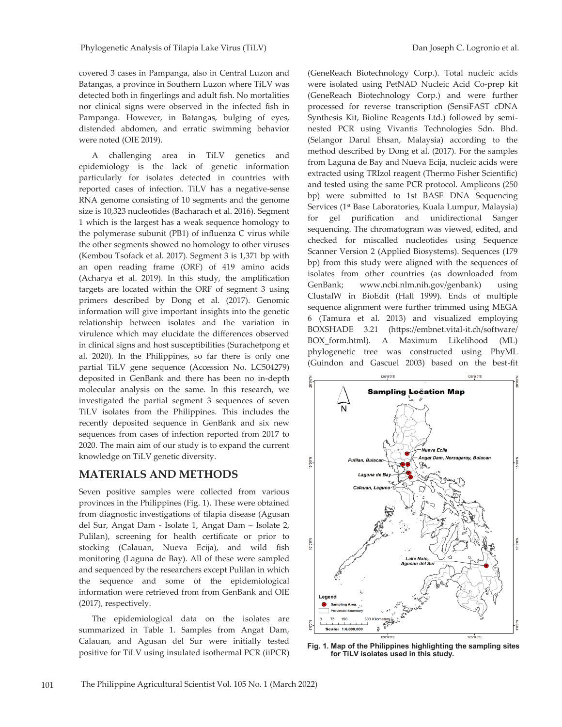covered 3 cases in Pampanga, also in Central Luzon and Batangas, a province in Southern Luzon where TiLV was detected both in fingerlings and adult fish. No mortalities nor clinical signs were observed in the infected fish in Pampanga. However, in Batangas, bulging of eyes, distended abdomen, and erratic swimming behavior were noted (OIE 2019).

A challenging area in TiLV genetics and epidemiology is the lack of genetic information particularly for isolates detected in countries with reported cases of infection. TiLV has a negative-sense RNA genome consisting of 10 segments and the genome size is 10,323 nucleotides (Bacharach et al. 2016). Segment 1 which is the largest has a weak sequence homology to the polymerase subunit (PB1) of influenza C virus while the other segments showed no homology to other viruses (Kembou Tsofack et al. 2017). Segment 3 is 1,371 bp with an open reading frame (ORF) of 419 amino acids (Acharya et al. 2019). In this study, the amplification targets are located within the ORF of segment 3 using primers described by Dong et al. (2017). Genomic information will give important insights into the genetic relationship between isolates and the variation in virulence which may elucidate the differences observed in clinical signs and host susceptibilities (Surachetpong et al. 2020). In the Philippines, so far there is only one partial TiLV gene sequence (Accession No. LC504279) deposited in GenBank and there has been no in-depth molecular analysis on the same. In this research, we investigated the partial segment 3 sequences of seven TiLV isolates from the Philippines. This includes the recently deposited sequence in GenBank and six new sequences from cases of infection reported from 2017 to 2020. The main aim of our study is to expand the current knowledge on TiLV genetic diversity.

### **MATERIALS AND METHODS**

Seven positive samples were collected from various provinces in the Philippines (Fig. 1). These were obtained from diagnostic investigations of tilapia disease (Agusan del Sur, Angat Dam - Isolate 1, Angat Dam – Isolate 2, Pulilan), screening for health certificate or prior to stocking (Calauan, Nueva Ecija), and wild fish monitoring (Laguna de Bay). All of these were sampled and sequenced by the researchers except Pulilan in which the sequence and some of the epidemiological information were retrieved from from GenBank and OIE (2017), respectively.

The epidemiological data on the isolates are summarized in Table 1. Samples from Angat Dam, Calauan, and Agusan del Sur were initially tested positive for TiLV using insulated isothermal PCR (iiPCR) (GeneReach Biotechnology Corp.). Total nucleic acids were isolated using PetNAD Nucleic Acid Co-prep kit (GeneReach Biotechnology Corp.) and were further processed for reverse transcription (SensiFAST cDNA Synthesis Kit, Bioline Reagents Ltd.) followed by seminested PCR using Vivantis Technologies Sdn. Bhd. (Selangor Darul Ehsan, Malaysia) according to the method described by Dong et al. (2017). For the samples from Laguna de Bay and Nueva Ecija, nucleic acids were extracted using TRIzol reagent (Thermo Fisher Scientific) and tested using the same PCR protocol. Amplicons (250 bp) were submitted to 1st BASE DNA Sequencing Services (1st Base Laboratories, Kuala Lumpur, Malaysia) for gel purification and unidirectional Sanger sequencing. The chromatogram was viewed, edited, and checked for miscalled nucleotides using Sequence Scanner Version 2 (Applied Biosystems). Sequences (179 bp) from this study were aligned with the sequences of isolates from other countries (as downloaded from GenBank; www.ncbi.nlm.nih.gov/genbank) using ClustalW in BioEdit (Hall 1999). Ends of multiple sequence alignment were further trimmed using MEGA 6 (Tamura et al. 2013) and visualized employing BOXSHADE 3.21 (https://embnet.vital-it.ch/software/ BOX\_form.html). A Maximum Likelihood (ML) phylogenetic tree was constructed using PhyML (Guindon and Gascuel 2003) based on the best-fit



**Fig. 1. Map of the Philippines highlighting the sampling sites for TiLV isolates used in this study.**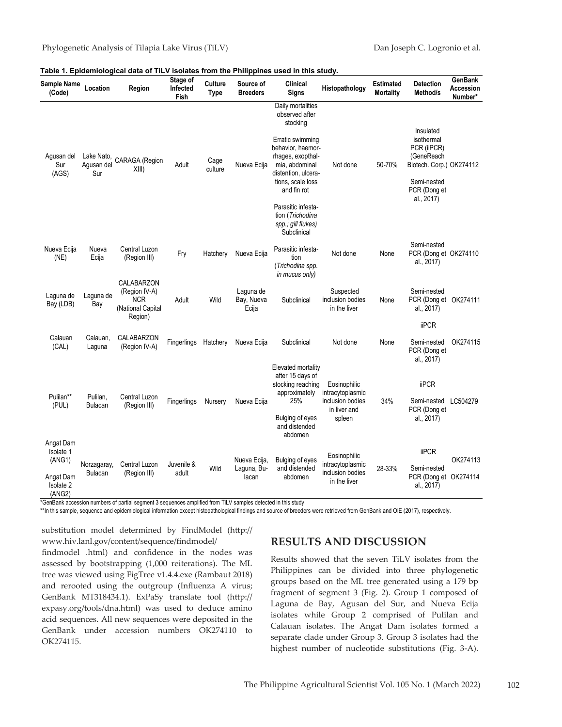|  |  |  |  |  |  | Table 1. Epidemiological data of TiLV isolates from the Philippines used in this study. |  |
|--|--|--|--|--|--|-----------------------------------------------------------------------------------------|--|
|--|--|--|--|--|--|-----------------------------------------------------------------------------------------|--|

| Sample Name<br>(Code)                         | Location                       | Region                                                                    | Stage of<br>Infected<br>Fish | Culture<br><b>Type</b> | Source of<br><b>Breeders</b>         | Clinical<br><b>Signs</b>                                                                                                | Histopathology                                                                 | <b>Estimated</b><br><b>Mortality</b> | Detection<br>Method/s                                                               | <b>GenBank</b><br>Accession<br>Number* |
|-----------------------------------------------|--------------------------------|---------------------------------------------------------------------------|------------------------------|------------------------|--------------------------------------|-------------------------------------------------------------------------------------------------------------------------|--------------------------------------------------------------------------------|--------------------------------------|-------------------------------------------------------------------------------------|----------------------------------------|
|                                               |                                |                                                                           |                              |                        |                                      | Daily mortalities<br>observed after<br>stocking<br>Erratic swimming<br>behavior, haemor-                                |                                                                                |                                      | Insulated<br>isothermal<br>PCR (iiPCR)                                              |                                        |
| Agusan del<br>Sur<br>(AGS)                    | Lake Nato<br>Agusan del<br>Sur | CARAGA (Region<br>XIII)                                                   | Adult                        | Cage<br>culture        | Nueva Ecija                          | rhages, exopthal-<br>mia, abdominal<br>distention, ulcera-<br>tions, scale loss<br>and fin rot                          | Not done                                                                       | 50-70%                               | (GeneReach<br>Biotech. Corp.) OK274112<br>Semi-nested<br>PCR (Dong et<br>al., 2017) |                                        |
|                                               |                                |                                                                           |                              |                        |                                      | Parasitic infesta-<br>tion (Trichodina<br>spp.; gill flukes)<br>Subclinical                                             |                                                                                |                                      |                                                                                     |                                        |
| Nueva Ecija<br>(NE)                           | Nueva<br>Ecija                 | Central Luzon<br>(Region III)                                             | Fry                          | Hatchery               | Nueva Ecija                          | Parasitic infesta-<br>tion<br>(Trichodina spp.<br>in mucus only)                                                        | Not done                                                                       | None                                 | Semi-nested<br>PCR (Dong et OK274110<br>al., 2017)                                  |                                        |
| Laguna de<br>Bay (LDB)                        | Laguna de<br>Bay               | CALABARZON<br>(Region IV-A)<br><b>NCR</b><br>(National Capital<br>Region) | Adult                        | Wild                   | Laguna de<br>Bay, Nueva<br>Ecija     | Subclinical                                                                                                             | Suspected<br>inclusion bodies<br>in the liver                                  | None                                 | Semi-nested<br>PCR (Dong et OK274111<br>al., 2017)<br><b>iiPCR</b>                  |                                        |
| Calauan<br>(CAL)                              | Calauan.<br>Laguna             | CALABARZON<br>(Region IV-A)                                               | Fingerlings                  | Hatchery               | Nueva Ecija                          | Subclinical                                                                                                             | Not done                                                                       | None                                 | Semi-nested<br>PCR (Dong et<br>al., 2017)                                           | OK274115                               |
| Pulilan**<br>(PUL)                            | Pulilan,<br>Bulacan            | Central Luzon<br>(Region III)                                             | Fingerlings                  | Nursery                | Nueva Ecija                          | Elevated mortality<br>after 15 days of<br>stocking reaching<br>approximately<br>25%<br>Bulging of eyes<br>and distended | Eosinophilic<br>intracytoplasmic<br>inclusion bodies<br>in liver and<br>spleen | 34%                                  | <b>iiPCR</b><br>Semi-nested<br>PCR (Dong et<br>al., 2017)                           | LC504279                               |
| Angat Dam<br>Isolate 1<br>(ANG1)<br>Angat Dam | Norzagaray,<br>Bulacan         | Central Luzon<br>(Region III)                                             | Juvenile &<br>adult          | Wild                   | Nueva Ecija,<br>Laguna, Bu-<br>lacan | abdomen<br>Bulging of eyes<br>and distended<br>abdomen                                                                  | Eosinophilic<br>intracytoplasmic<br>inclusion bodies<br>in the liver           | 28-33%                               | <b>iiPCR</b><br>Semi-nested<br>PCR (Dong et OK274114                                | OK274113                               |
| <b>Isolate 2</b><br>(ANG2)                    |                                |                                                                           |                              |                        |                                      |                                                                                                                         |                                                                                |                                      | al., 2017)                                                                          |                                        |

\*GenBank accession numbers of partial segment 3 sequences amplified from TiLV samples detected in this study

\*\*In this sample, sequence and epidemiological information except histopathological findings and source of breeders were retrieved from GenBank and OIE (2017), respectively.

substitution model determined by FindModel (http:// www.hiv.lanl.gov/content/sequence/findmodel/

# **RESULTS AND DISCUSSION**

findmodel .html) and confidence in the nodes was assessed by bootstrapping (1,000 reiterations). The ML tree was viewed using FigTree v1.4.4.exe (Rambaut 2018) and rerooted using the outgroup (Influenza A virus; GenBank MT318434.1). ExPaSy translate tool (http:// expasy.org/tools/dna.html) was used to deduce amino acid sequences. All new sequences were deposited in the GenBank under accession numbers OK274110 to OK274115.

Results showed that the seven TiLV isolates from the Philippines can be divided into three phylogenetic groups based on the ML tree generated using a 179 bp fragment of segment 3 (Fig. 2). Group 1 composed of Laguna de Bay, Agusan del Sur, and Nueva Ecija isolates while Group 2 comprised of Pulilan and Calauan isolates. The Angat Dam isolates formed a separate clade under Group 3. Group 3 isolates had the highest number of nucleotide substitutions (Fig. 3-A).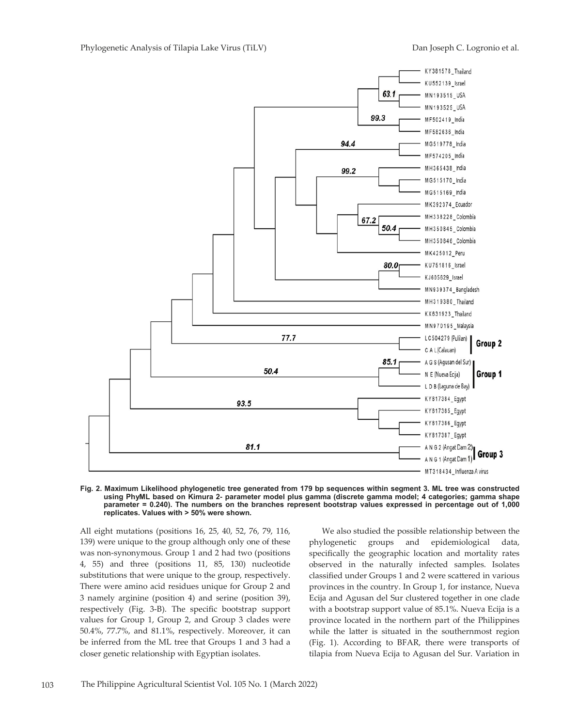

#### **Fig. 2. Maximum Likelihood phylogenetic tree generated from 179 bp sequences within segment 3. ML tree was constructed using PhyML based on Kimura 2- parameter model plus gamma (discrete gamma model; 4 categories; gamma shape parameter = 0.240). The numbers on the branches represent bootstrap values expressed in percentage out of 1,000 replicates. Values with > 50% were shown.**

All eight mutations (positions 16, 25, 40, 52, 76, 79, 116, 139) were unique to the group although only one of these was non-synonymous. Group 1 and 2 had two (positions 4, 55) and three (positions 11, 85, 130) nucleotide substitutions that were unique to the group, respectively. There were amino acid residues unique for Group 2 and 3 namely arginine (position 4) and serine (position 39), respectively (Fig. 3-B). The specific bootstrap support values for Group 1, Group 2, and Group 3 clades were 50.4%, 77.7%, and 81.1%, respectively. Moreover, it can be inferred from the ML tree that Groups 1 and 3 had a closer genetic relationship with Egyptian isolates.

We also studied the possible relationship between the phylogenetic groups and epidemiological data, specifically the geographic location and mortality rates observed in the naturally infected samples. Isolates classified under Groups 1 and 2 were scattered in various provinces in the country. In Group 1, for instance, Nueva Ecija and Agusan del Sur clustered together in one clade with a bootstrap support value of 85.1%. Nueva Ecija is a province located in the northern part of the Philippines while the latter is situated in the southernmost region (Fig. 1). According to BFAR, there were transports of tilapia from Nueva Ecija to Agusan del Sur. Variation in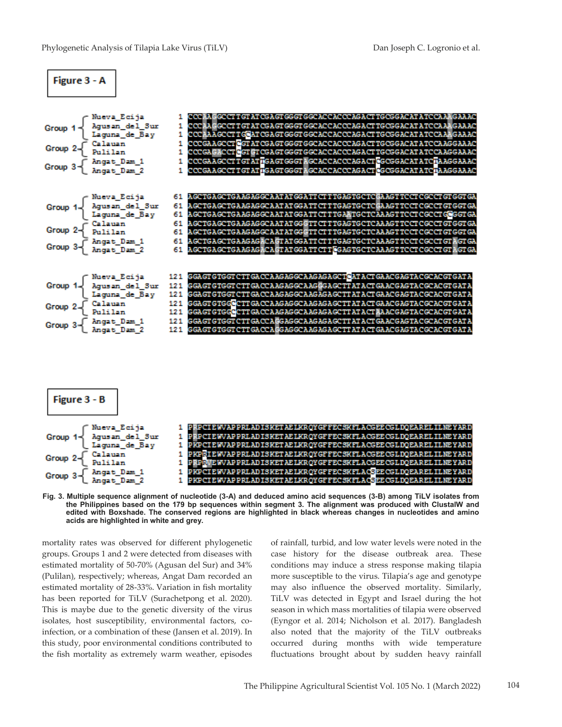# Figure 3 - A



**Fig. 3. Multiple sequence alignment of nucleotide (3-A) and deduced amino acid sequences (3-B) among TiLV isolates from the Philippines based on the 179 bp sequences within segment 3. The alignment was produced with ClustalW and edited with Boxshade. The conserved regions are highlighted in black whereas changes in nucleotides and amino acids are highlighted in white and grey.**

mortality rates was observed for different phylogenetic groups. Groups 1 and 2 were detected from diseases with estimated mortality of 50-70% (Agusan del Sur) and 34% (Pulilan), respectively; whereas, Angat Dam recorded an estimated mortality of 28-33%. Variation in fish mortality has been reported for TiLV (Surachetpong et al. 2020). This is maybe due to the genetic diversity of the virus isolates, host susceptibility, environmental factors, coinfection, or a combination of these (Jansen et al. 2019). In this study, poor environmental conditions contributed to the fish mortality as extremely warm weather, episodes

of rainfall, turbid, and low water levels were noted in the case history for the disease outbreak area. These conditions may induce a stress response making tilapia more susceptible to the virus. Tilapia's age and genotype may also influence the observed mortality. Similarly, TiLV was detected in Egypt and Israel during the hot season in which mass mortalities of tilapia were observed (Eyngor et al. 2014; Nicholson et al. 2017). Bangladesh also noted that the majority of the TiLV outbreaks occurred during months with wide temperature fluctuations brought about by sudden heavy rainfall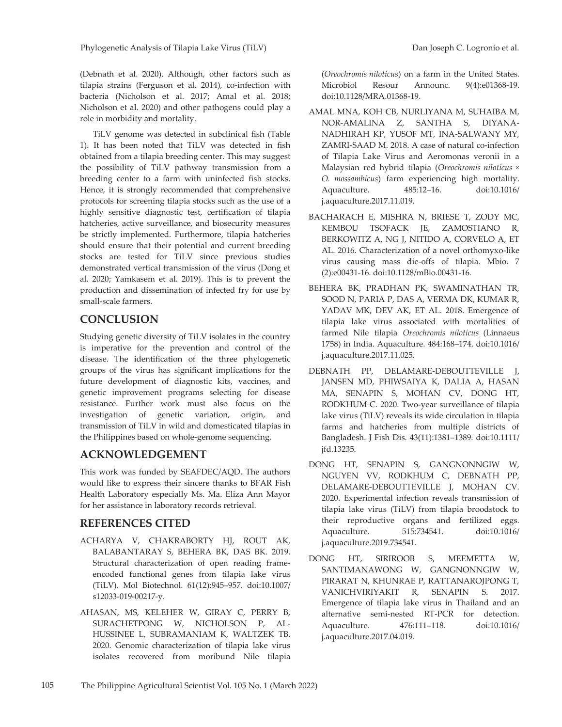(Debnath et al. 2020). Although, other factors such as tilapia strains (Ferguson et al. 2014), co-infection with bacteria (Nicholson et al. 2017; Amal et al. 2018; Nicholson et al. 2020) and other pathogens could play a role in morbidity and mortality.

TiLV genome was detected in subclinical fish (Table 1). It has been noted that TiLV was detected in fish obtained from a tilapia breeding center. This may suggest the possibility of TiLV pathway transmission from a breeding center to a farm with uninfected fish stocks. Hence, it is strongly recommended that comprehensive protocols for screening tilapia stocks such as the use of a highly sensitive diagnostic test, certification of tilapia hatcheries, active surveillance, and biosecurity measures be strictly implemented. Furthermore, tilapia hatcheries should ensure that their potential and current breeding stocks are tested for TiLV since previous studies demonstrated vertical transmission of the virus (Dong et al. 2020; Yamkasem et al. 2019). This is to prevent the production and dissemination of infected fry for use by small-scale farmers.

### **CONCLUSION**

Studying genetic diversity of TiLV isolates in the country is imperative for the prevention and control of the disease. The identification of the three phylogenetic groups of the virus has significant implications for the future development of diagnostic kits, vaccines, and genetic improvement programs selecting for disease resistance. Further work must also focus on the investigation of genetic variation, origin, and transmission of TiLV in wild and domesticated tilapias in the Philippines based on whole-genome sequencing.

### **ACKNOWLEDGEMENT**

This work was funded by SEAFDEC/AQD. The authors would like to express their sincere thanks to BFAR Fish Health Laboratory especially Ms. Ma. Eliza Ann Mayor for her assistance in laboratory records retrieval.

### **REFERENCES CITED**

- ACHARYA V, CHAKRABORTY HJ, ROUT AK, BALABANTARAY S, BEHERA BK, DAS BK. 2019. Structural characterization of open reading frameencoded functional genes from tilapia lake virus (TiLV). Mol Biotechnol. 61(12):945–957. doi:10.1007/ s12033-019-00217-y.
- AHASAN, MS, KELEHER W, GIRAY C, PERRY B, SURACHETPONG W, NICHOLSON P, AL-HUSSINEE L, SUBRAMANIAM K, WALTZEK TB. 2020. Genomic characterization of tilapia lake virus isolates recovered from moribund Nile tilapia

(*Oreochromis niloticus*) on a farm in the United States. Microbiol Resour Announc. 9(4):e01368-19. doi:10.1128/MRA.01368-19.

- AMAL MNA, KOH CB, NURLIYANA M, SUHAIBA M, NOR-AMALINA Z, SANTHA S, DIYANA-NADHIRAH KP, YUSOF MT, INA-SALWANY MY, ZAMRI-SAAD M. 2018. A case of natural co-infection of Tilapia Lake Virus and Aeromonas veronii in a Malaysian red hybrid tilapia (*Oreochromis niloticus × O. mossambicus*) farm experiencing high mortality. Aquaculture. 485:12–16. doi:10.1016/ j.aquaculture.2017.11.019.
- BACHARACH E, MISHRA N, BRIESE T, ZODY MC, KEMBOU TSOFACK JE, ZAMOSTIANO R, BERKOWITZ A, NG J, NITIDO A, CORVELO A, ET AL. 2016. Characterization of a novel orthomyxo-like virus causing mass die-offs of tilapia. Mbio. 7 (2):e00431-16. doi:10.1128/mBio.00431-16.
- BEHERA BK, PRADHAN PK, SWAMINATHAN TR, SOOD N, PARIA P, DAS A, VERMA DK, KUMAR R, YADAV MK, DEV AK, ET AL. 2018. Emergence of tilapia lake virus associated with mortalities of farmed Nile tilapia *Oreochromis niloticus* (Linnaeus 1758) in India. Aquaculture. 484:168–174. doi:10.1016/ j.aquaculture.2017.11.025.
- DEBNATH PP, DELAMARE-DEBOUTTEVILLE J, JANSEN MD, PHIWSAIYA K, DALIA A, HASAN MA, SENAPIN S, MOHAN CV, DONG HT, RODKHUM C. 2020. Two-year surveillance of tilapia lake virus (TiLV) reveals its wide circulation in tilapia farms and hatcheries from multiple districts of Bangladesh. J Fish Dis. 43(11):1381–1389. doi:10.1111/ jfd.13235.
- DONG HT, SENAPIN S, GANGNONNGIW W, NGUYEN VV, RODKHUM C, DEBNATH PP, DELAMARE-DEBOUTTEVILLE J, MOHAN CV. 2020. Experimental infection reveals transmission of tilapia lake virus (TiLV) from tilapia broodstock to their reproductive organs and fertilized eggs. Aquaculture. 515:734541. doi:10.1016/ j.aquaculture.2019.734541.
- DONG HT, SIRIROOB S, MEEMETTA W, SANTIMANAWONG W, GANGNONNGIW W, PIRARAT N, KHUNRAE P, RATTANAROJPONG T, VANICHVIRIYAKIT R, SENAPIN S. 2017. Emergence of tilapia lake virus in Thailand and an alternative semi-nested RT-PCR for detection. Aquaculture. 476:111–118. doi:10.1016/ j.aquaculture.2017.04.019.